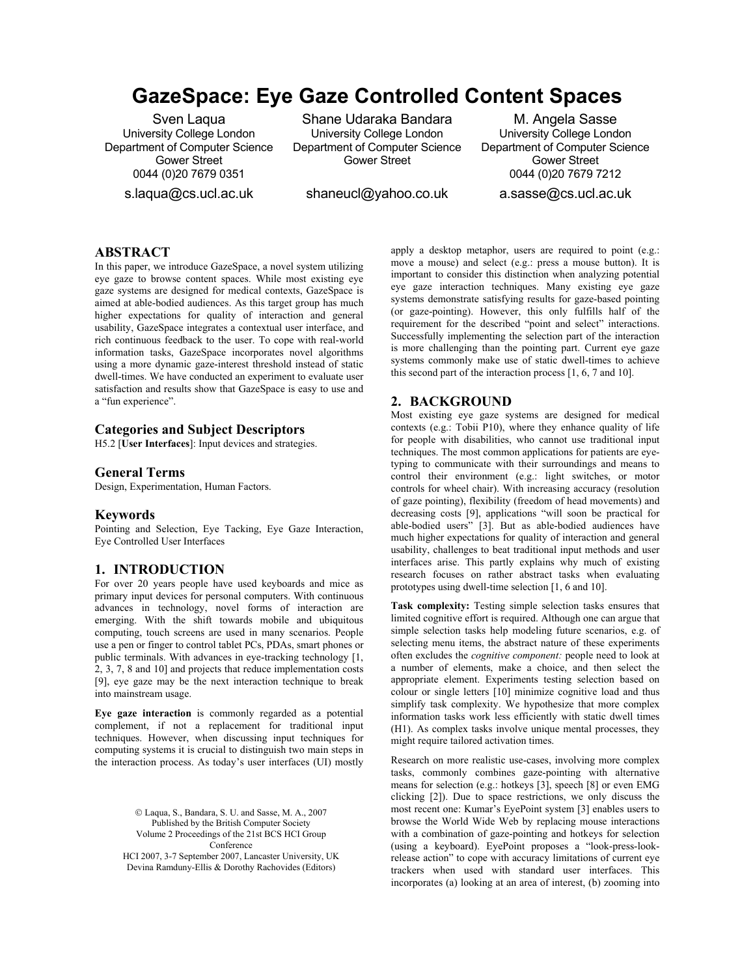# **GazeSpace: Eye Gaze Controlled Content Spaces**

Sven Laqua University College London Department of Computer Science Gower Street 0044 (0)20 7679 0351

s.laqua@cs.ucl.ac.uk

Shane Udaraka Bandara University College London Department of Computer Science Gower Street

shaneucl@yahoo.co.uk

M. Angela Sasse University College London Department of Computer Science Gower Street 0044 (0)20 7679 7212 a.sasse@cs.ucl.ac.uk

**ABSTRACT**

In this paper, we introduce GazeSpace, a novel system utilizing eye gaze to browse content spaces. While most existing eye gaze systems are designed for medical contexts, GazeSpace is aimed at able-bodied audiences. As this target group has much higher expectations for quality of interaction and general usability, GazeSpace integrates a contextual user interface, and rich continuous feedback to the user. To cope with real-world information tasks, GazeSpace incorporates novel algorithms using a more dynamic gaze-interest threshold instead of static dwell-times. We have conducted an experiment to evaluate user satisfaction and results show that GazeSpace is easy to use and a "fun experience".

# **Categories and Subject Descriptors**

H5.2 [**User Interfaces**]: Input devices and strategies.

#### **General Terms**

Design, Experimentation, Human Factors.

# **Keywords**

Pointing and Selection, Eye Tacking, Eye Gaze Interaction, Eye Controlled User Interfaces

## **1. INTRODUCTION**

For over 20 years people have used keyboards and mice as primary input devices for personal computers. With continuous advances in technology, novel forms of interaction are emerging. With the shift towards mobile and ubiquitous computing, touch screens are used in many scenarios. People use a pen or finger to control tablet PCs, PDAs, smart phones or public terminals. With advances in eye-tracking technology [1, 2, 3, 7, 8 and 10] and projects that reduce implementation costs [9], eye gaze may be the next interaction technique to break into mainstream usage.

**Eye gaze interaction** is commonly regarded as a potential complement, if not a replacement for traditional input techniques. However, when discussing input techniques for computing systems it is crucial to distinguish two main steps in the interaction process. As today's user interfaces (UI) mostly

> © Laqua, S., Bandara, S. U. and Sasse, M. A., 2007 Published by the British Computer Society Volume 2 Proceedings of the 21st BCS HCI Group Conference HCI 2007, 3-7 September 2007, Lancaster University, UK

Devina Ramduny-Ellis & Dorothy Rachovides (Editors)

apply a desktop metaphor, users are required to point (e.g.: move a mouse) and select (e.g.: press a mouse button). It is important to consider this distinction when analyzing potential eye gaze interaction techniques. Many existing eye gaze systems demonstrate satisfying results for gaze-based pointing (or gaze-pointing). However, this only fulfills half of the requirement for the described "point and select" interactions. Successfully implementing the selection part of the interaction is more challenging than the pointing part. Current eye gaze systems commonly make use of static dwell-times to achieve this second part of the interaction process [1, 6, 7 and 10].

# **2. BACKGROUND**

Most existing eye gaze systems are designed for medical contexts (e.g.: Tobii P10), where they enhance quality of life for people with disabilities, who cannot use traditional input techniques. The most common applications for patients are eyetyping to communicate with their surroundings and means to control their environment (e.g.: light switches, or motor controls for wheel chair). With increasing accuracy (resolution of gaze pointing), flexibility (freedom of head movements) and decreasing costs [9], applications "will soon be practical for able-bodied users" [3]. But as able-bodied audiences have much higher expectations for quality of interaction and general usability, challenges to beat traditional input methods and user interfaces arise. This partly explains why much of existing research focuses on rather abstract tasks when evaluating prototypes using dwell-time selection [1, 6 and 10].

**Task complexity:** Testing simple selection tasks ensures that limited cognitive effort is required. Although one can argue that simple selection tasks help modeling future scenarios, e.g. of selecting menu items, the abstract nature of these experiments often excludes the *cognitive component:* people need to look at a number of elements, make a choice, and then select the appropriate element. Experiments testing selection based on colour or single letters [10] minimize cognitive load and thus simplify task complexity. We hypothesize that more complex information tasks work less efficiently with static dwell times (H1). As complex tasks involve unique mental processes, they might require tailored activation times.

Research on more realistic use-cases, involving more complex tasks, commonly combines gaze-pointing with alternative means for selection (e.g.: hotkeys [3], speech [8] or even EMG clicking [2]). Due to space restrictions, we only discuss the most recent one: Kumar's EyePoint system [3] enables users to browse the World Wide Web by replacing mouse interactions with a combination of gaze-pointing and hotkeys for selection (using a keyboard). EyePoint proposes a "look-press-lookrelease action" to cope with accuracy limitations of current eye trackers when used with standard user interfaces. This incorporates (a) looking at an area of interest, (b) zooming into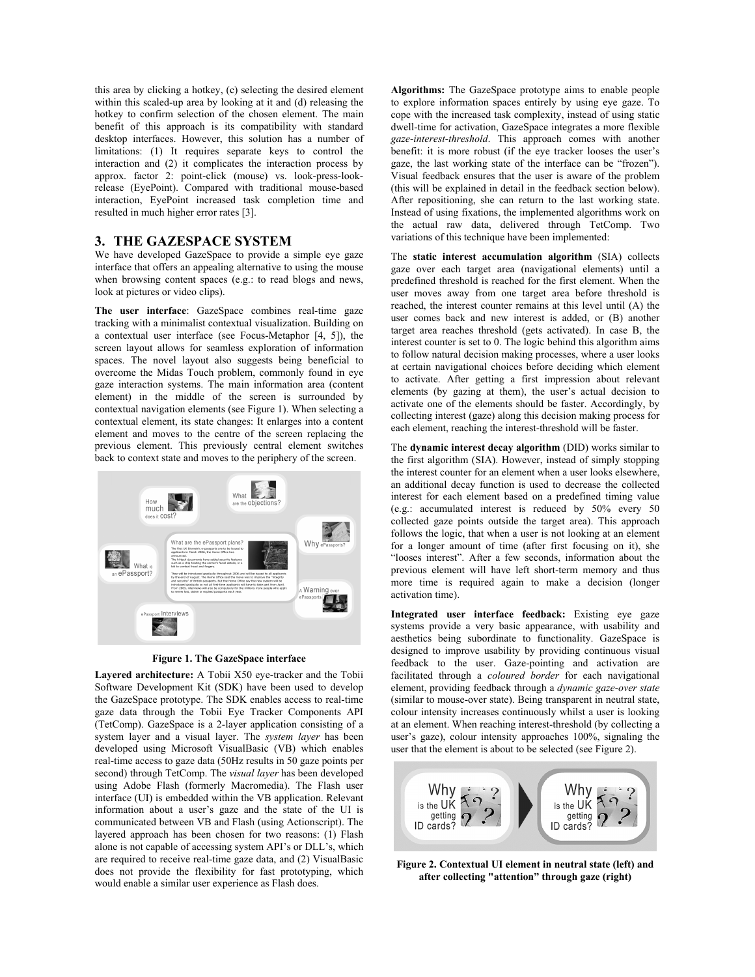this area by clicking a hotkey, (c) selecting the desired element within this scaled-up area by looking at it and (d) releasing the hotkey to confirm selection of the chosen element. The main benefit of this approach is its compatibility with standard desktop interfaces. However, this solution has a number of limitations: (1) It requires separate keys to control the interaction and (2) it complicates the interaction process by approx. factor 2: point-click (mouse) vs. look-press-lookrelease (EyePoint). Compared with traditional mouse-based interaction, EyePoint increased task completion time and resulted in much higher error rates [3].

## **3. THE GAZESPACE SYSTEM**

We have developed GazeSpace to provide a simple eye gaze interface that offers an appealing alternative to using the mouse when browsing content spaces (e.g.: to read blogs and news, look at pictures or video clips).

**The user interface**: GazeSpace combines real-time gaze tracking with a minimalist contextual visualization. Building on a contextual user interface (see Focus-Metaphor [4, 5]), the screen layout allows for seamless exploration of information spaces. The novel layout also suggests being beneficial to overcome the Midas Touch problem, commonly found in eye gaze interaction systems. The main information area (content element) in the middle of the screen is surrounded by contextual navigation elements (see Figure 1). When selecting a contextual element, its state changes: It enlarges into a content element and moves to the centre of the screen replacing the previous element. This previously central element switches back to context state and moves to the periphery of the screen.



**Figure 1. The GazeSpace interface** 

**Layered architecture:** A Tobii X50 eye-tracker and the Tobii Software Development Kit (SDK) have been used to develop the GazeSpace prototype. The SDK enables access to real-time gaze data through the Tobii Eye Tracker Components API (TetComp). GazeSpace is a 2-layer application consisting of a system layer and a visual layer. The *system layer* has been developed using Microsoft VisualBasic (VB) which enables real-time access to gaze data (50Hz results in 50 gaze points per second) through TetComp. The *visual layer* has been developed using Adobe Flash (formerly Macromedia). The Flash user interface (UI) is embedded within the VB application. Relevant information about a user's gaze and the state of the UI is communicated between VB and Flash (using Actionscript). The layered approach has been chosen for two reasons: (1) Flash alone is not capable of accessing system API's or DLL's, which are required to receive real-time gaze data, and (2) VisualBasic does not provide the flexibility for fast prototyping, which would enable a similar user experience as Flash does.

**Algorithms:** The GazeSpace prototype aims to enable people to explore information spaces entirely by using eye gaze. To cope with the increased task complexity, instead of using static dwell-time for activation, GazeSpace integrates a more flexible *gaze-interest-threshold*. This approach comes with another benefit: it is more robust (if the eye tracker looses the user's gaze, the last working state of the interface can be "frozen"). Visual feedback ensures that the user is aware of the problem (this will be explained in detail in the feedback section below). After repositioning, she can return to the last working state. Instead of using fixations, the implemented algorithms work on the actual raw data, delivered through TetComp. Two variations of this technique have been implemented:

The **static interest accumulation algorithm** (SIA) collects gaze over each target area (navigational elements) until a predefined threshold is reached for the first element. When the user moves away from one target area before threshold is reached, the interest counter remains at this level until (A) the user comes back and new interest is added, or (B) another target area reaches threshold (gets activated). In case B, the interest counter is set to 0. The logic behind this algorithm aims to follow natural decision making processes, where a user looks at certain navigational choices before deciding which element to activate. After getting a first impression about relevant elements (by gazing at them), the user's actual decision to activate one of the elements should be faster. Accordingly, by collecting interest (gaze) along this decision making process for each element, reaching the interest-threshold will be faster.

The **dynamic interest decay algorithm** (DID) works similar to the first algorithm (SIA). However, instead of simply stopping the interest counter for an element when a user looks elsewhere, an additional decay function is used to decrease the collected interest for each element based on a predefined timing value (e.g.: accumulated interest is reduced by 50% every 50 collected gaze points outside the target area). This approach follows the logic, that when a user is not looking at an element for a longer amount of time (after first focusing on it), she "looses interest". After a few seconds, information about the previous element will have left short-term memory and thus more time is required again to make a decision (longer activation time).

**Integrated user interface feedback:** Existing eye gaze systems provide a very basic appearance, with usability and aesthetics being subordinate to functionality. GazeSpace is designed to improve usability by providing continuous visual feedback to the user. Gaze-pointing and activation are facilitated through a *coloured border* for each navigational element, providing feedback through a *dynamic gaze-over state* (similar to mouse-over state). Being transparent in neutral state, colour intensity increases continuously whilst a user is looking at an element. When reaching interest-threshold (by collecting a user's gaze), colour intensity approaches 100%, signaling the user that the element is about to be selected (see Figure 2).



**Figure 2. Contextual UI element in neutral state (left) and after collecting "attention" through gaze (right)**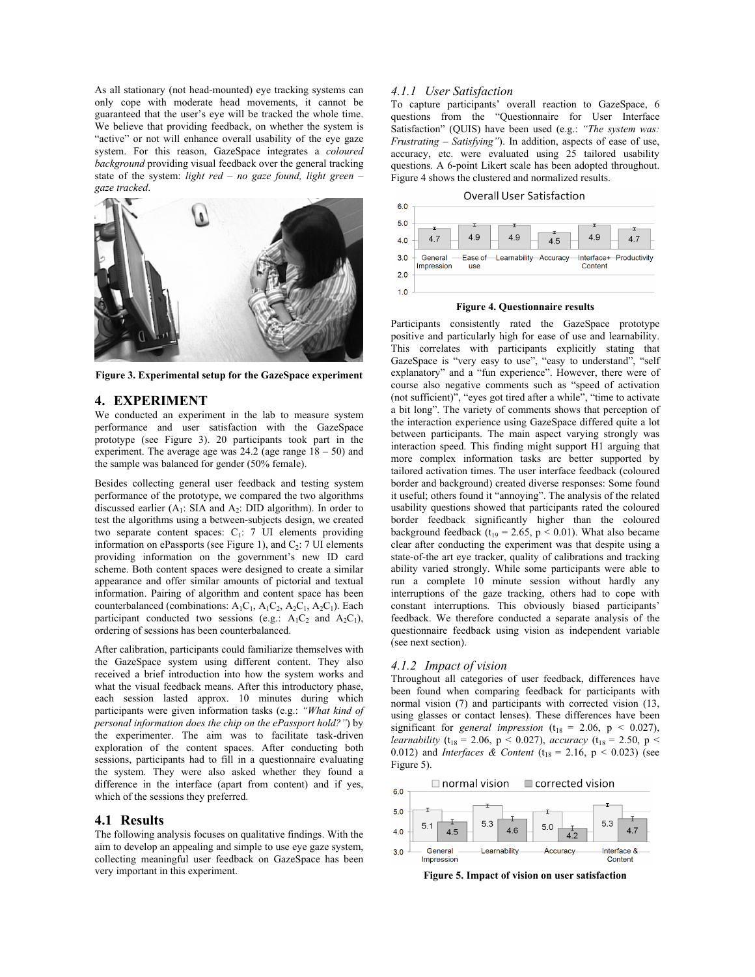As all stationary (not head-mounted) eye tracking systems can only cope with moderate head movements, it cannot be guaranteed that the user's eye will be tracked the whole time. We believe that providing feedback, on whether the system is "active" or not will enhance overall usability of the eye gaze system. For this reason, GazeSpace integrates a *coloured background* providing visual feedback over the general tracking state of the system: *light red – no gaze found, light green – gaze tracked*.



**Figure 3. Experimental setup for the GazeSpace experiment** 

# **4. EXPERIMENT**

We conducted an experiment in the lab to measure system performance and user satisfaction with the GazeSpace prototype (see Figure 3). 20 participants took part in the experiment. The average age was 24.2 (age range 18 – 50) and the sample was balanced for gender (50% female).

Besides collecting general user feedback and testing system performance of the prototype, we compared the two algorithms discussed earlier  $(A_1: SIA$  and  $A_2: DID$  algorithm). In order to test the algorithms using a between-subjects design, we created two separate content spaces:  $C_1$ : 7 UI elements providing information on ePassports (see Figure 1), and  $C_2$ : 7 UI elements providing information on the government's new ID card scheme. Both content spaces were designed to create a similar appearance and offer similar amounts of pictorial and textual information. Pairing of algorithm and content space has been counterbalanced (combinations:  $A_1C_1$ ,  $A_1C_2$ ,  $A_2C_1$ ,  $A_2C_1$ ). Each participant conducted two sessions (e.g.:  $A_1C_2$  and  $A_2C_1$ ), ordering of sessions has been counterbalanced.

After calibration, participants could familiarize themselves with the GazeSpace system using different content. They also received a brief introduction into how the system works and what the visual feedback means. After this introductory phase, each session lasted approx. 10 minutes during which participants were given information tasks (e.g.: *"What kind of personal information does the chip on the ePassport hold?"*) by the experimenter. The aim was to facilitate task-driven exploration of the content spaces. After conducting both sessions, participants had to fill in a questionnaire evaluating the system. They were also asked whether they found a difference in the interface (apart from content) and if yes, which of the sessions they preferred.

#### **4.1 Results**

The following analysis focuses on qualitative findings. With the aim to develop an appealing and simple to use eye gaze system, collecting meaningful user feedback on GazeSpace has been very important in this experiment.

#### *4.1.1 User Satisfaction*

To capture participants' overall reaction to GazeSpace, 6 questions from the "Questionnaire for User Interface Satisfaction" (QUIS) have been used (e.g.: *"The system was: Frustrating – Satisfying"*). In addition, aspects of ease of use, accuracy, etc. were evaluated using 25 tailored usability questions. A 6-point Likert scale has been adopted throughout. Figure 4 shows the clustered and normalized results.





#### **Figure 4. Questionnaire results**

Participants consistently rated the GazeSpace prototype positive and particularly high for ease of use and learnability. This correlates with participants explicitly stating that GazeSpace is "very easy to use", "easy to understand", "self explanatory" and a "fun experience". However, there were of course also negative comments such as "speed of activation (not sufficient)", "eyes got tired after a while", "time to activate a bit long". The variety of comments shows that perception of the interaction experience using GazeSpace differed quite a lot between participants. The main aspect varying strongly was interaction speed. This finding might support H1 arguing that more complex information tasks are better supported by tailored activation times. The user interface feedback (coloured border and background) created diverse responses: Some found it useful; others found it "annoying". The analysis of the related usability questions showed that participants rated the coloured border feedback significantly higher than the coloured background feedback  $(t_{19} = 2.65, p \le 0.01)$ . What also became clear after conducting the experiment was that despite using a state-of-the art eye tracker, quality of calibrations and tracking ability varied strongly. While some participants were able to run a complete 10 minute session without hardly any interruptions of the gaze tracking, others had to cope with constant interruptions. This obviously biased participants' feedback. We therefore conducted a separate analysis of the questionnaire feedback using vision as independent variable (see next section).

#### *4.1.2 Impact of vision*

Throughout all categories of user feedback, differences have been found when comparing feedback for participants with normal vision (7) and participants with corrected vision (13, using glasses or contact lenses). These differences have been significant for *general impression* ( $t_{18} = 2.06$ ,  $p < 0.027$ ), *learnability* (t<sub>18</sub> = 2.06, p < 0.027), *accuracy* (t<sub>18</sub> = 2.50, p < 0.012) and *Interfaces* & *Content* ( $t_{18} = 2.16$ ,  $p < 0.023$ ) (see Figure 5).

 $\Box$  normal vision corrected vision  $6.0$  $5.0$ 5.3  $5.3$  $5.1$  $5.0$  $4.0$  $4.5$ 4.6  $4.7$  $42$ General **Learnability** Interface &  $3.0$ Accuracy Impression

**Figure 5. Impact of vision on user satisfaction**